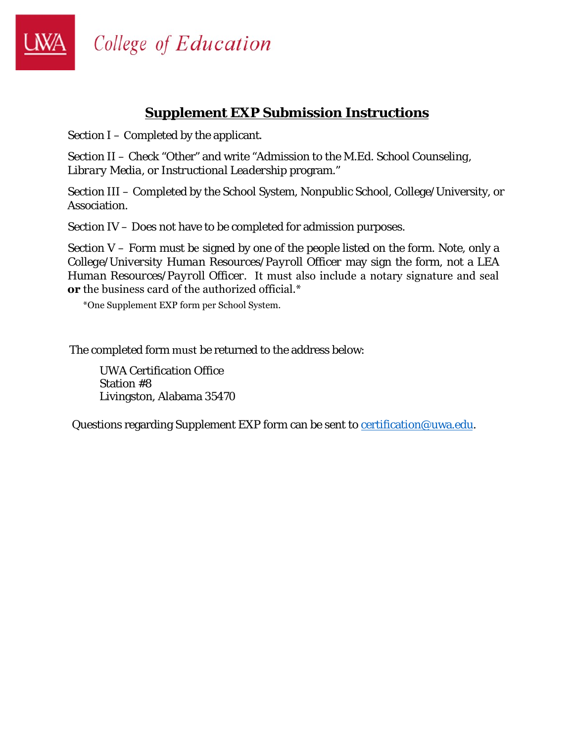College of Education

# **Supplement EXP Submission Instructions**

Section I – Completed by the applicant.

Section II – Check "Other" and write "Admission to the M.Ed. *School Counseling, Library Media, or Instructional Leadership* program."

Section III – Completed by the School System, Nonpublic School, College/University, or Association.

Section IV – Does not have to be completed for admission purposes.

Section  $V -$  Form must be signed by one of the people listed on the form. Note, only a *College/University Human Resources/Payroll Officer* may sign the form, not a *LEA Human Resources/Payroll Officer*. It must also include a notary signature and seal **or** the business card of the authorized official.\*

\*One Supplement EXP form per School System.

The completed form must be returned to the address below:

UWA Certification Office Station #8 Livingston, Alabama 35470

Questions regarding Supplement EXP form can be sent to certification@uwa.edu.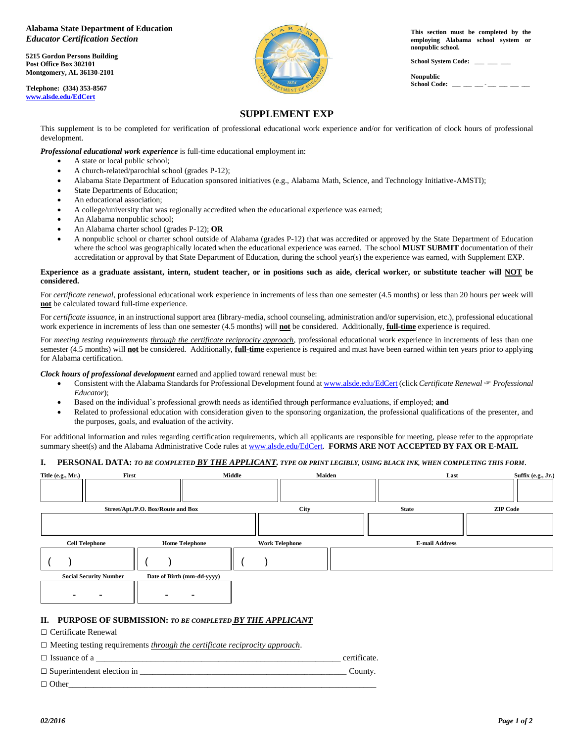#### **Alabama State Department of Education**  *Educator Certification Section*

**5215 Gordon Persons Building Post Office Box 302101 Montgomery, AL 36130-2101**

**Telephone: (334) 353-8567 [www.alsde.edu/E](http://www.alsde.edu/)dCert**



**This section must be completed by the employing Alabama school system or nonpublic school.**

**School System Code: \_\_\_ \_\_\_ \_\_\_**

**Nonpublic**   $School Code:$ 

# **SUPPLEMENT EXP**

This supplement is to be completed for verification of professional educational work experience and/or for verification of clock hours of professional development.

*Professional educational work experience* is full-time educational employment in:

- A state or local public school;
- A church-related/parochial school (grades P-12);
- Alabama State Department of Education sponsored initiatives (e.g., Alabama Math, Science, and Technology Initiative-AMSTI);
- State Departments of Education;
- An educational association;
- A college/university that was regionally accredited when the educational experience was earned;
- An Alabama nonpublic school;
- An Alabama charter school (grades P-12); **OR**
- A nonpublic school or charter school outside of Alabama (grades P-12) that was accredited or approved by the State Department of Education where the school was geographically located when the educational experience was earned. The school **MUST SUBMIT** documentation of their accreditation or approval by that State Department of Education, during the school year(s) the experience was earned, with Supplement EXP.

#### **Experience as a graduate assistant, intern, student teacher, or in positions such as aide, clerical worker, or substitute teacher will NOT be considered.**

For *certificate renewal*, professional educational work experience in increments of less than one semester (4.5 months) or less than 20 hours per week will **not** be calculated toward full-time experience.

For *certificate issuance,* in an instructional support area (library-media, school counseling, administration and/or supervision, etc.), professional educational work experience in increments of less than one semester (4.5 months) will **not** be considered. Additionally, **full-time** experience is required.

For *meeting testing requirements through the certificate reciprocity approach*, professional educational work experience in increments of less than one semester (4.5 months) will **not** be considered. Additionally, **full-time** experience is required and must have been earned within ten years prior to applying for Alabama certification.

*Clock hours of professional development* earned and applied toward renewal must be:

- Consistent with the Alabama Standards for Professional Development found at www.alsde.edu/EdCert (click *Certificate Renewal Professional Educator*);
- Based on the individual's professional growth needs as identified through performance evaluations, if employed; **and**
- Related to professional education with consideration given to the sponsoring organization, the professional qualifications of the presenter, and the purposes, goals, and evaluation of the activity.

For additional information and rules regarding certification requirements, which all applicants are responsible for meeting, please refer to the appropriate summary sheet(s) and the Alabama Administrative Code rules at [www.alsde.edu/EdCert.](http://www.alsde.edu/EdCert) **FORMS ARE NOT ACCEPTED BY FAX OR E-MAIL** 

### **I. PERSONAL DATA:** *TO BE COMPLETED BY THE APPLICANT. TYPE OR PRINT LEGIBLY, USING BLACK INK, WHEN COMPLETING THIS FORM***.**

| First<br>Title (e.g., Mr.)         |                            | <b>Middle</b>         | Maiden | Last                  | Suffix (e.g., Jr.) |
|------------------------------------|----------------------------|-----------------------|--------|-----------------------|--------------------|
|                                    |                            |                       |        |                       |                    |
| Street/Apt./P.O. Box/Route and Box |                            | City                  |        | <b>State</b>          | <b>ZIP Code</b>    |
|                                    |                            |                       |        |                       |                    |
| <b>Cell Telephone</b>              | <b>Home Telephone</b>      | <b>Work Telephone</b> |        | <b>E-mail Address</b> |                    |
|                                    |                            |                       |        |                       |                    |
| <b>Social Security Number</b>      | Date of Birth (mm-dd-yyyy) |                       |        |                       |                    |
|                                    |                            |                       |        |                       |                    |

#### **II. PURPOSE OF SUBMISSION:** *TO BE COMPLETED BY THE APPLICANT*

□ Certificate Renewal

□ Meeting testing requirements *through the certificate reciprocity approach*.

 $\Box$  Issuance of a  $\Box$  $\Box$  Superintendent election in  $\Box$ 

Other\_\_\_\_\_\_\_\_\_\_\_\_\_\_\_\_\_\_\_\_\_\_\_\_\_\_\_\_\_\_\_\_\_\_\_\_\_\_\_\_\_\_\_\_\_\_\_\_\_\_\_\_\_\_\_\_\_\_\_\_\_\_\_\_\_\_\_\_\_\_\_\_\_  $\Box$  Other